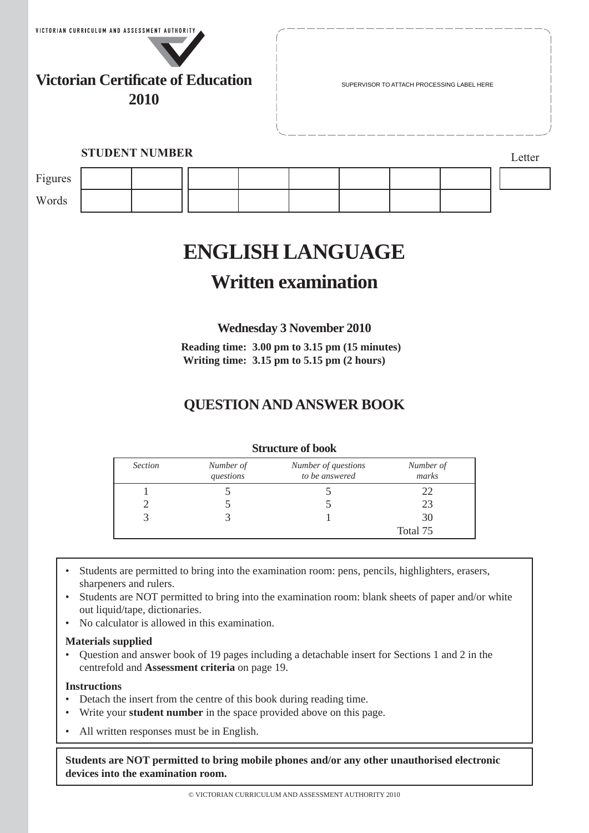

**Victorian Certificate of Education 2010**

SUPERVISOR TO ATTACH PROCESSING LABEL HERE

## **STUDENT NUMBER** Letter

| Figures |  |  |  |  |  |
|---------|--|--|--|--|--|
| Words   |  |  |  |  |  |

# **ENGLISH LANGUAGE**

## **Written examination**

**Wednesday 3 November 2010**

**Reading time: 3.00 pm to 3.15 pm (15 minutes) Writing time: 3.15 pm to 5.15 pm (2 hours)**

## **QUESTION AND ANSWER BOOK**

| <b>Section</b> | Number of<br>questions | Number of questions<br>to be answered | Number of<br>marks |
|----------------|------------------------|---------------------------------------|--------------------|
|                |                        |                                       | 22                 |
|                |                        |                                       | 23                 |
|                |                        |                                       | 30                 |
|                |                        |                                       | Total 75           |

### **Structure of book**

- Students are permitted to bring into the examination room: pens, pencils, highlighters, erasers, sharpeners and rulers.
- Students are NOT permitted to bring into the examination room: blank sheets of paper and/or white out liquid/tape, dictionaries.
- No calculator is allowed in this examination.

#### **Materials supplied**

• Question and answer book of 19 pages including a detachable insert for Sections 1 and 2 in the centrefold and **Assessment criteria** on page 19.

#### **Instructions**

- Detach the insert from the centre of this book during reading time.
- Write your **student number** in the space provided above on this page.
- All written responses must be in English.

**Students are NOT permitted to bring mobile phones and/or any other unauthorised electronic devices into the examination room.**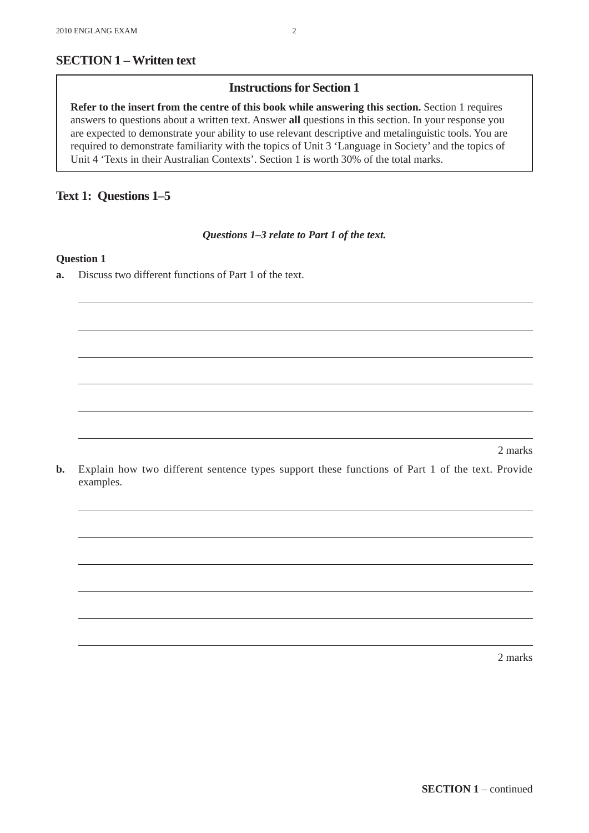## **Instructions for Section 1**

**Refer to the insert from the centre of this book while answering this section.** Section 1 requires answers to questions about a written text. Answer **all** questions in this section. In your response you are expected to demonstrate your ability to use relevant descriptive and metalinguistic tools. You are required to demonstrate familiarity with the topics of Unit 3 'Language in Society' and the topics of Unit 4 'Texts in their Australian Contexts'. Section 1 is worth 30% of the total marks.

## **Text 1: Questions 1–5**

*Questions 1–3 relate to Part 1 of the text.*

#### **Question 1**

**a.** Discuss two different functions of Part 1 of the text.

2 marks

**b.** Explain how two different sentence types support these functions of Part 1 of the text. Provide examples.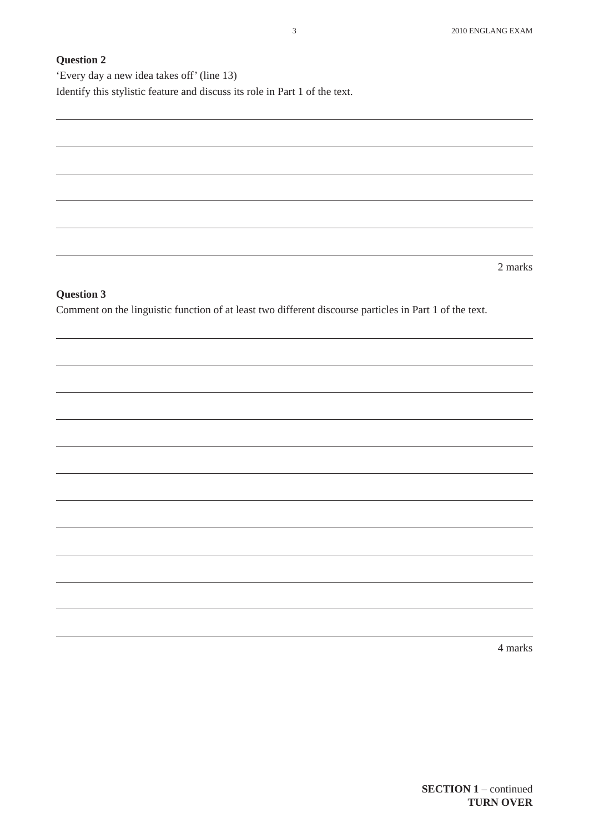'Every day a new idea takes off' (line 13) Identify this stylistic feature and discuss its role in Part 1 of the text.

2 marks

#### **Question 3**

Comment on the linguistic function of at least two different discourse particles in Part 1 of the text.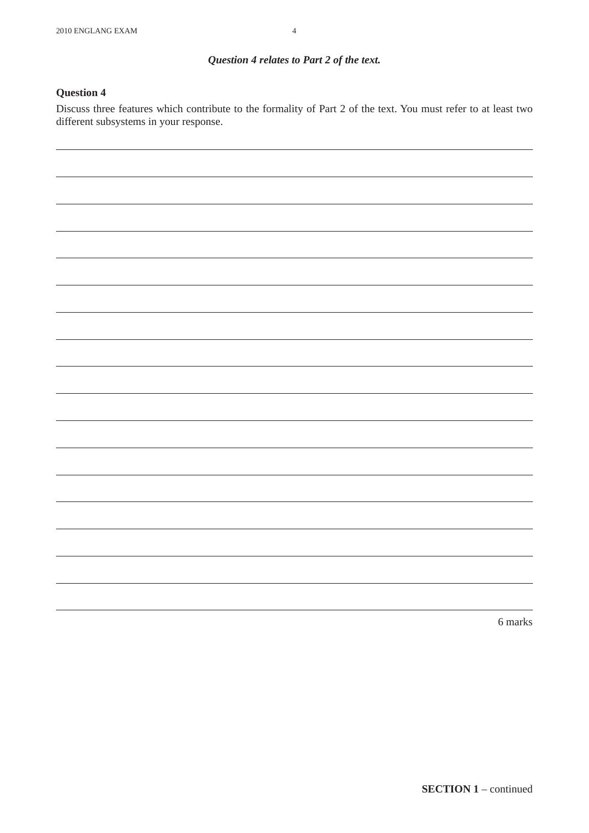## *Question 4 relates to Part 2 of the text.*

#### **Question 4**

Discuss three features which contribute to the formality of Part 2 of the text. You must refer to at least two different subsystems in your response.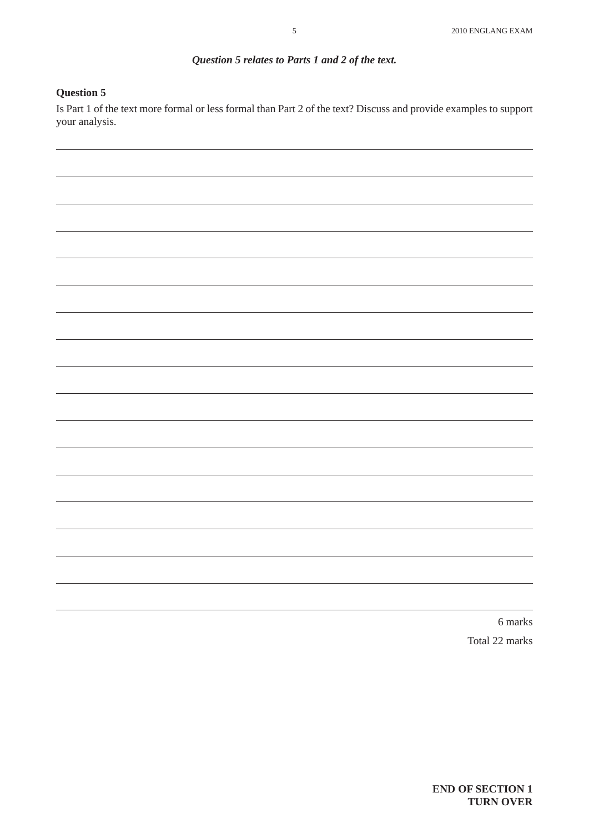## *Question 5 relates to Parts 1 and 2 of the text.*

#### **Question 5**

Is Part 1 of the text more formal or less formal than Part 2 of the text? Discuss and provide examples to support your analysis.

> 6 marks Total 22 marks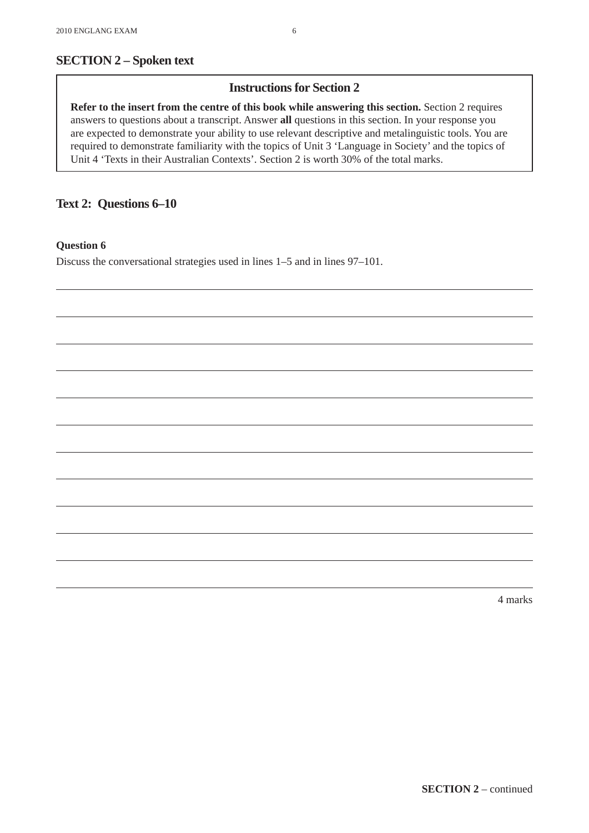## **Instructions for Section 2**

**Refer to the insert from the centre of this book while answering this section.** Section 2 requires answers to questions about a transcript. Answer **all** questions in this section. In your response you are expected to demonstrate your ability to use relevant descriptive and metalinguistic tools. You are required to demonstrate familiarity with the topics of Unit 3 'Language in Society' and the topics of Unit 4 'Texts in their Australian Contexts'. Section 2 is worth 30% of the total marks.

### **Text 2: Questions 6–10**

#### **Question 6**

Discuss the conversational strategies used in lines 1–5 and in lines 97–101.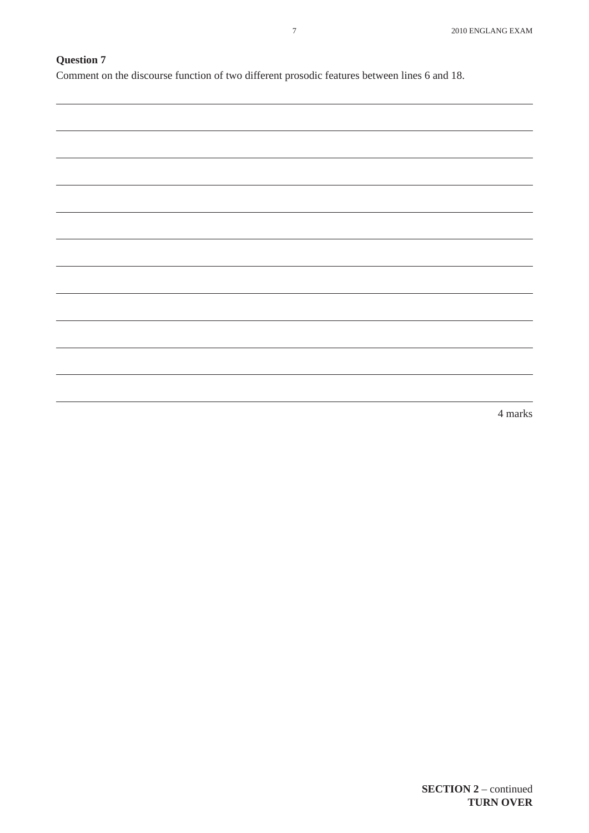Comment on the discourse function of two different prosodic features between lines 6 and 18.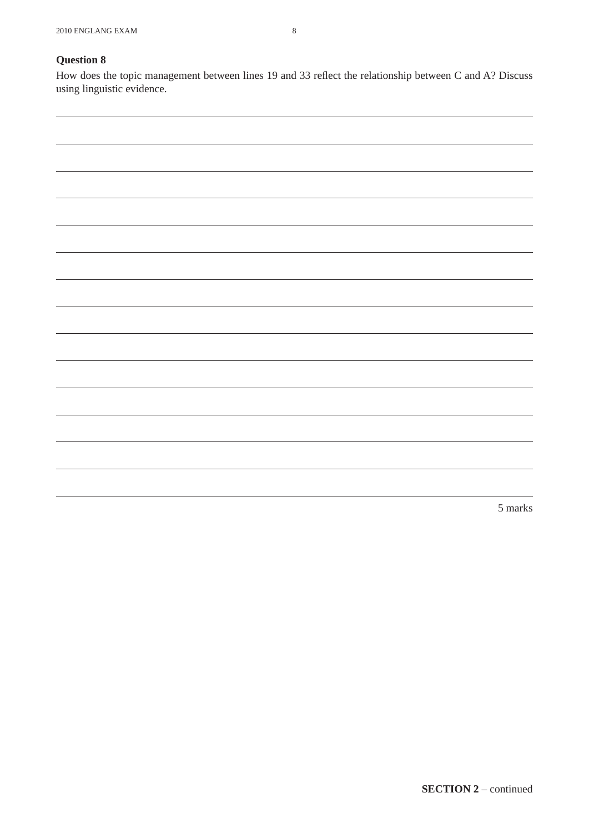How does the topic management between lines 19 and 33 reflect the relationship between C and A? Discuss using linguistic evidence.

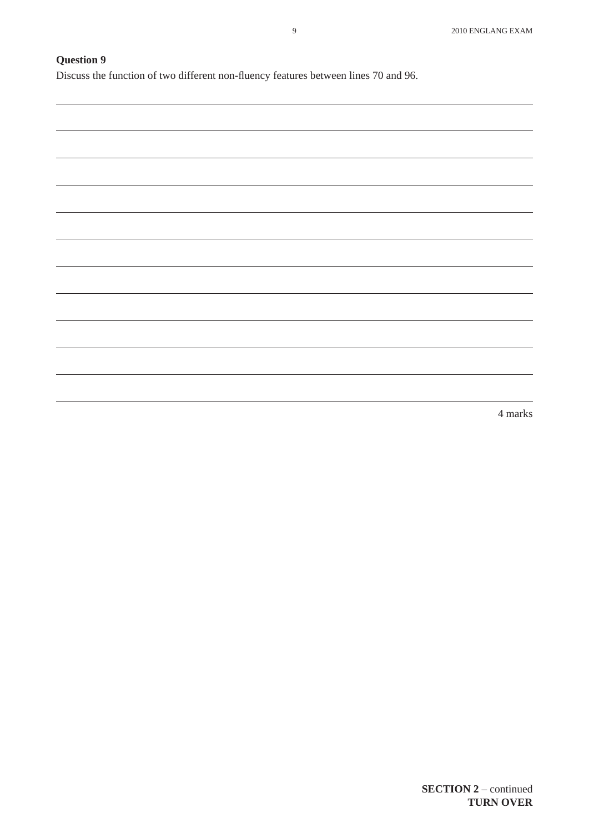Discuss the function of two different non-fluency features between lines 70 and 96.

| <u> 1989 - Andrea Santa Andrea Andrea Andrea Andrea Andrea Andrea Andrea Andrea Andrea Andrea Andrea Andrea Andr</u> |  |                                   |
|----------------------------------------------------------------------------------------------------------------------|--|-----------------------------------|
|                                                                                                                      |  |                                   |
|                                                                                                                      |  |                                   |
|                                                                                                                      |  |                                   |
|                                                                                                                      |  |                                   |
|                                                                                                                      |  |                                   |
|                                                                                                                      |  |                                   |
|                                                                                                                      |  |                                   |
|                                                                                                                      |  |                                   |
|                                                                                                                      |  |                                   |
|                                                                                                                      |  |                                   |
|                                                                                                                      |  |                                   |
| <u> 1989 - Andrea Santa Andrea Andrea Andrea Andrea Andrea Andrea Andrea Andrea Andrea Andrea Andrea Andrea Andr</u> |  |                                   |
|                                                                                                                      |  |                                   |
|                                                                                                                      |  |                                   |
|                                                                                                                      |  |                                   |
|                                                                                                                      |  |                                   |
|                                                                                                                      |  |                                   |
|                                                                                                                      |  |                                   |
|                                                                                                                      |  |                                   |
|                                                                                                                      |  |                                   |
| <u> 1989 - Andrea Santana, Amerikaansk politiker (* 1989)</u>                                                        |  | the control of the control of the |
|                                                                                                                      |  |                                   |
|                                                                                                                      |  |                                   |
|                                                                                                                      |  |                                   |
|                                                                                                                      |  |                                   |
|                                                                                                                      |  |                                   |
|                                                                                                                      |  |                                   |
|                                                                                                                      |  |                                   |
|                                                                                                                      |  |                                   |
|                                                                                                                      |  |                                   |
|                                                                                                                      |  |                                   |
|                                                                                                                      |  |                                   |
|                                                                                                                      |  |                                   |
|                                                                                                                      |  |                                   |
|                                                                                                                      |  |                                   |
|                                                                                                                      |  |                                   |
|                                                                                                                      |  |                                   |
| <u> 1989 - Andrea Stadt Britain, amerikansk politiker (d. 1989)</u>                                                  |  |                                   |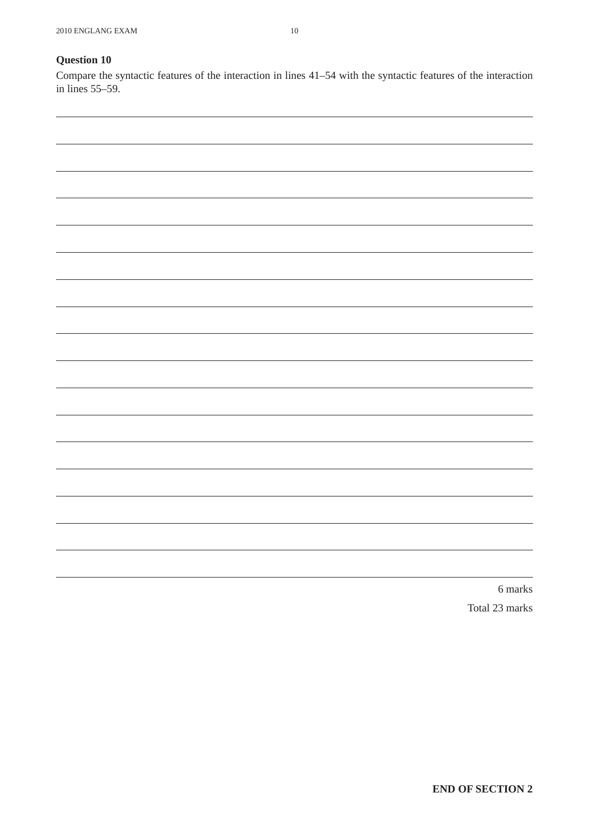Compare the syntactic features of the interaction in lines 41–54 with the syntactic features of the interaction in lines 55–59.



Total 23 marks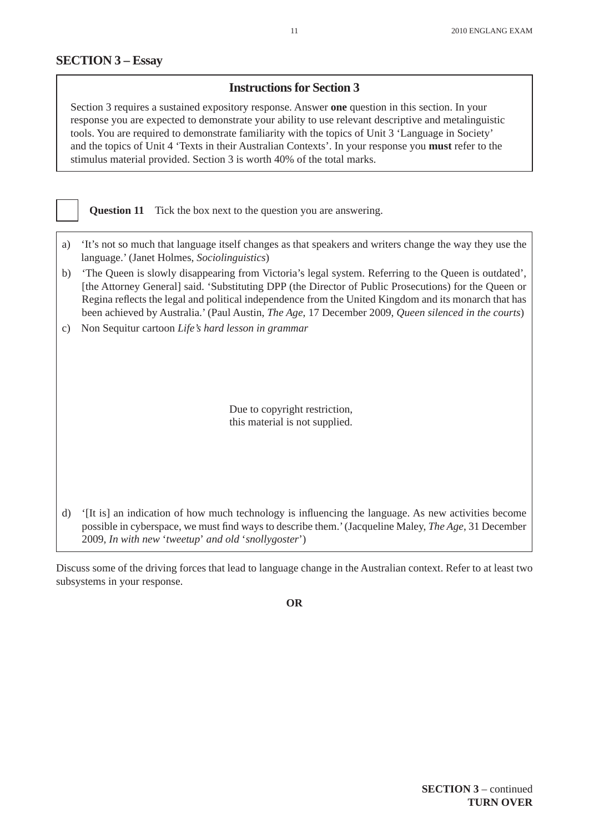## **Instructions for Section 3**

Section 3 requires a sustained expository response. Answer **one** question in this section. In your response you are expected to demonstrate your ability to use relevant descriptive and metalinguistic tools. You are required to demonstrate familiarity with the topics of Unit 3 'Language in Society' and the topics of Unit 4 'Texts in their Australian Contexts'. In your response you **must** refer to the stimulus material provided. Section 3 is worth 40% of the total marks.

**Question 11** Tick the box next to the question you are answering.

- a) 'It's not so much that language itself changes as that speakers and writers change the way they use the language.' (Janet Holmes, *Sociolinguistics*)
- b) 'The Queen is slowly disappearing from Victoria's legal system. Referring to the Queen is outdated', [the Attorney General] said. 'Substituting DPP (the Director of Public Prosecutions) for the Queen or Regina reflects the legal and political independence from the United Kingdom and its monarch that has been achieved by Australia.' (Paul Austin, *The Age*, 17 December 2009, *Queen silenced in the courts*)
- c) Non Sequitur cartoon *Life's hard lesson in grammar*

Due to copyright restriction, this material is not supplied.

d) '[It is] an indication of how much technology is influencing the language. As new activities become possible in cyberspace, we must find ways to describe them.' (Jacqueline Maley, *The Age*, 31 December 2009, *In with new* '*tweetup*' *and old* '*snollygoster*')

Discuss some of the driving forces that lead to language change in the Australian context. Refer to at least two subsystems in your response.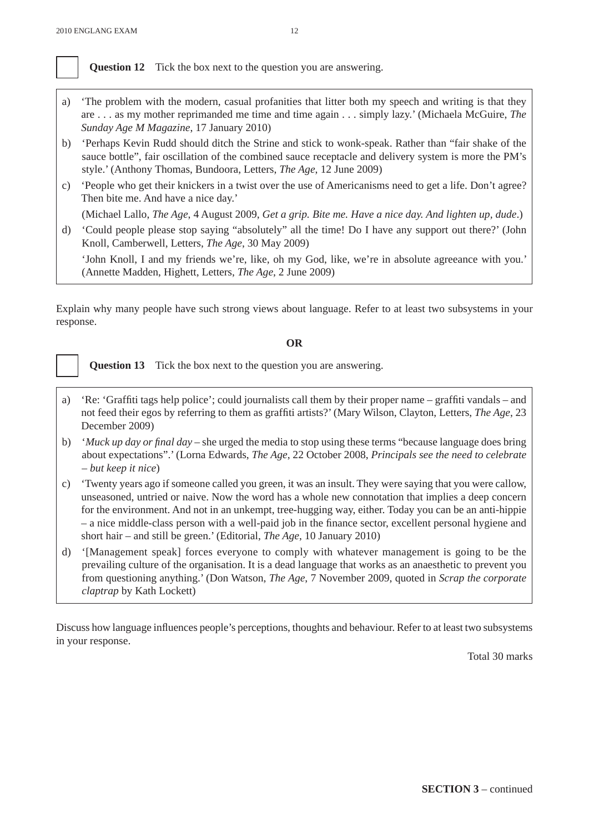

**Question 12** Tick the box next to the question you are answering.

- a) 'The problem with the modern, casual profanities that litter both my speech and writing is that they are . . . as my mother reprimanded me time and time again . . . simply lazy.' (Michaela McGuire, *The Sunday Age M Magazine*, 17 January 2010)
- b) 'Perhaps Kevin Rudd should ditch the Strine and stick to wonk-speak. Rather than "fair shake of the sauce bottle", fair oscillation of the combined sauce receptacle and delivery system is more the PM's style.' (Anthony Thomas, Bundoora, Letters, *The Age*, 12 June 2009)
- c) 'People who get their knickers in a twist over the use of Americanisms need to get a life. Don't agree? Then bite me. And have a nice day.'

(Michael Lallo, *The Age*, 4 August 2009, *Get a grip. Bite me. Have a nice day. And lighten up, dude*.)

d) 'Could people please stop saying "absolutely" all the time! Do I have any support out there?' (John Knoll, Camberwell, Letters, *The Age*, 30 May 2009)

 'John Knoll, I and my friends we're, like, oh my God, like, we're in absolute agreeance with you.' (Annette Madden, Highett, Letters, *The Age*, 2 June 2009)

Explain why many people have such strong views about language. Refer to at least two subsystems in your response.

#### **OR**

**Question 13** Tick the box next to the question you are answering.

- a) 'Re: 'Graffiti tags help police'; could journalists call them by their proper name graffiti vandals and not feed their egos by referring to them as graffiti artists?' (Mary Wilson, Clayton, Letters, *The Age*, 23 December 2009)
- b) '*Muck up day or final day*  she urged the media to stop using these terms "because language does bring about expectations".' (Lorna Edwards, *The Age*, 22 October 2008, *Principals see the need to celebrate – but keep it nice*)
- c) 'Twenty years ago if someone called you green, it was an insult. They were saying that you were callow, unseasoned, untried or naive. Now the word has a whole new connotation that implies a deep concern for the environment. And not in an unkempt, tree-hugging way, either. Today you can be an anti-hippie – a nice middle-class person with a well-paid job in the finance sector, excellent personal hygiene and short hair – and still be green.' (Editorial, *The Age*, 10 January 2010)
- d) '[Management speak] forces everyone to comply with whatever management is going to be the prevailing culture of the organisation. It is a dead language that works as an anaesthetic to prevent you from questioning anything.' (Don Watson, *The Age*, 7 November 2009, quoted in *Scrap the corporate claptrap* by Kath Lockett)

Discuss how language influences people's perceptions, thoughts and behaviour. Refer to at least two subsystems in your response.

Total 30 marks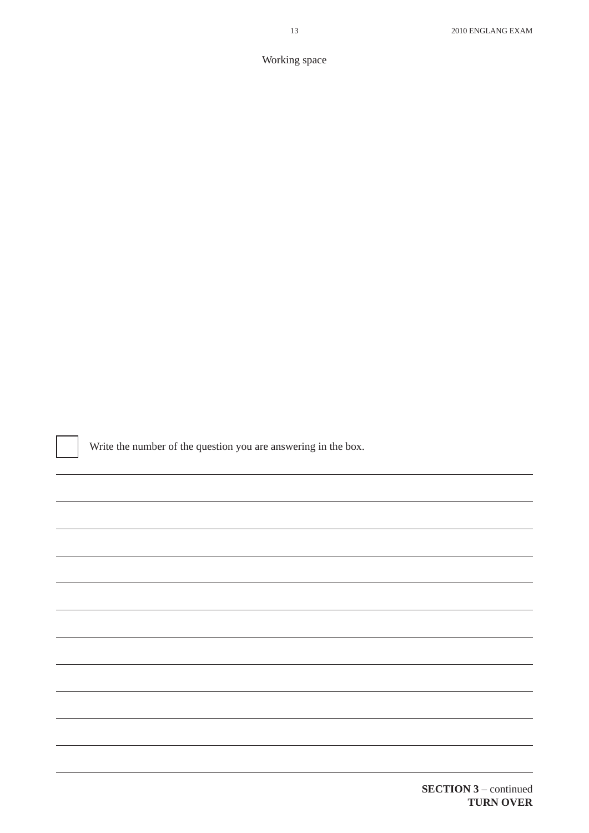Working space

Write the number of the question you are answering in the box.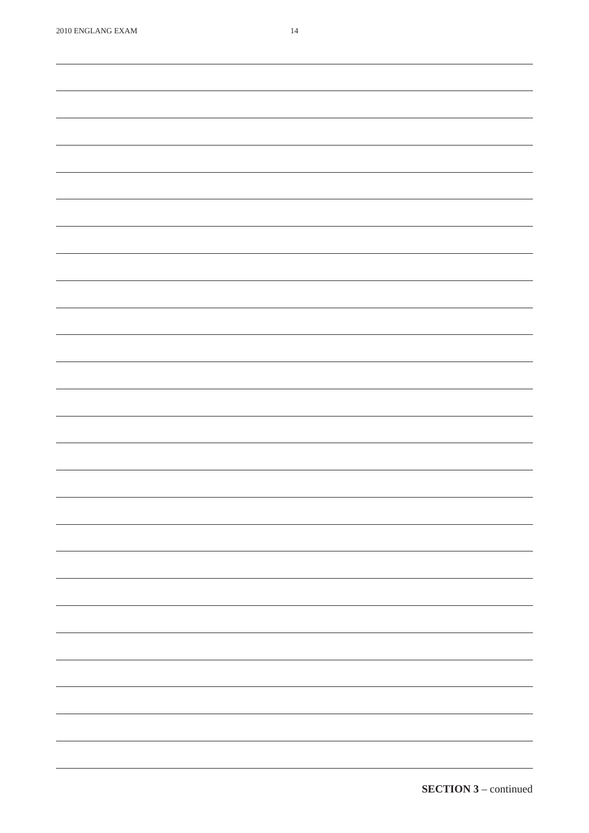,我们也不能会有什么。""我们的人,我们也不能会有什么?""我们的人,我们也不能会有什么?""我们的人,我们也不能会有什么?""我们的人,我们也不能会有什么?""

<u> 1989 - Johann Stoff, amerikansk politiker (d. 1989)</u>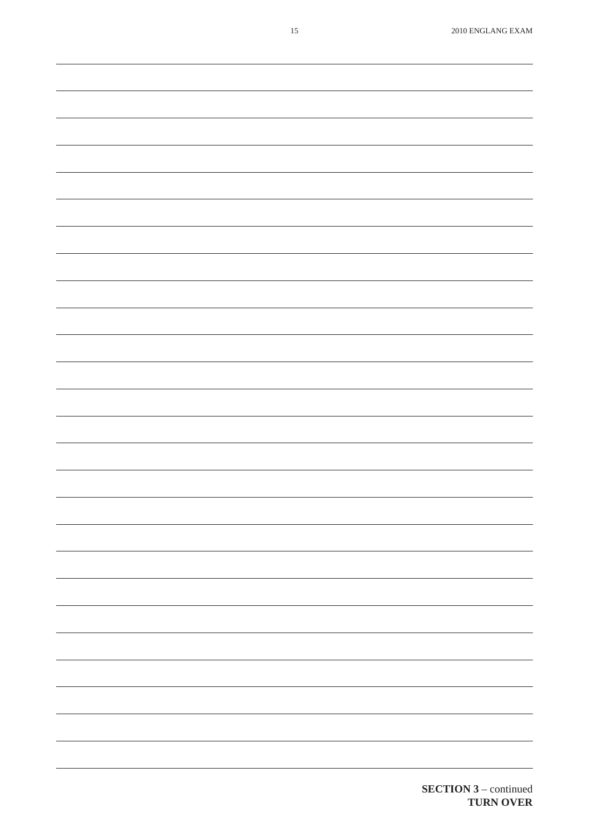| $15\,$ | 2010 ENGLANG EXAM                                                                                                                                                                                                                                                                                                                                                                                                                                                          |
|--------|----------------------------------------------------------------------------------------------------------------------------------------------------------------------------------------------------------------------------------------------------------------------------------------------------------------------------------------------------------------------------------------------------------------------------------------------------------------------------|
|        |                                                                                                                                                                                                                                                                                                                                                                                                                                                                            |
|        |                                                                                                                                                                                                                                                                                                                                                                                                                                                                            |
|        |                                                                                                                                                                                                                                                                                                                                                                                                                                                                            |
|        |                                                                                                                                                                                                                                                                                                                                                                                                                                                                            |
|        |                                                                                                                                                                                                                                                                                                                                                                                                                                                                            |
|        |                                                                                                                                                                                                                                                                                                                                                                                                                                                                            |
|        |                                                                                                                                                                                                                                                                                                                                                                                                                                                                            |
|        |                                                                                                                                                                                                                                                                                                                                                                                                                                                                            |
|        |                                                                                                                                                                                                                                                                                                                                                                                                                                                                            |
|        |                                                                                                                                                                                                                                                                                                                                                                                                                                                                            |
|        |                                                                                                                                                                                                                                                                                                                                                                                                                                                                            |
|        |                                                                                                                                                                                                                                                                                                                                                                                                                                                                            |
|        |                                                                                                                                                                                                                                                                                                                                                                                                                                                                            |
|        |                                                                                                                                                                                                                                                                                                                                                                                                                                                                            |
|        |                                                                                                                                                                                                                                                                                                                                                                                                                                                                            |
|        |                                                                                                                                                                                                                                                                                                                                                                                                                                                                            |
|        |                                                                                                                                                                                                                                                                                                                                                                                                                                                                            |
|        |                                                                                                                                                                                                                                                                                                                                                                                                                                                                            |
|        |                                                                                                                                                                                                                                                                                                                                                                                                                                                                            |
|        |                                                                                                                                                                                                                                                                                                                                                                                                                                                                            |
|        |                                                                                                                                                                                                                                                                                                                                                                                                                                                                            |
|        |                                                                                                                                                                                                                                                                                                                                                                                                                                                                            |
|        |                                                                                                                                                                                                                                                                                                                                                                                                                                                                            |
|        |                                                                                                                                                                                                                                                                                                                                                                                                                                                                            |
|        |                                                                                                                                                                                                                                                                                                                                                                                                                                                                            |
|        |                                                                                                                                                                                                                                                                                                                                                                                                                                                                            |
|        |                                                                                                                                                                                                                                                                                                                                                                                                                                                                            |
|        |                                                                                                                                                                                                                                                                                                                                                                                                                                                                            |
|        |                                                                                                                                                                                                                                                                                                                                                                                                                                                                            |
|        |                                                                                                                                                                                                                                                                                                                                                                                                                                                                            |
|        |                                                                                                                                                                                                                                                                                                                                                                                                                                                                            |
|        |                                                                                                                                                                                                                                                                                                                                                                                                                                                                            |
|        |                                                                                                                                                                                                                                                                                                                                                                                                                                                                            |
|        |                                                                                                                                                                                                                                                                                                                                                                                                                                                                            |
|        |                                                                                                                                                                                                                                                                                                                                                                                                                                                                            |
|        | $\sim$ $\sim$                                                                                                                                                                                                                                                                                                                                                                                                                                                              |
|        |                                                                                                                                                                                                                                                                                                                                                                                                                                                                            |
|        | $\overline{\phantom{0}}$                                                                                                                                                                                                                                                                                                                                                                                                                                                   |
|        |                                                                                                                                                                                                                                                                                                                                                                                                                                                                            |
|        |                                                                                                                                                                                                                                                                                                                                                                                                                                                                            |
|        |                                                                                                                                                                                                                                                                                                                                                                                                                                                                            |
|        |                                                                                                                                                                                                                                                                                                                                                                                                                                                                            |
|        |                                                                                                                                                                                                                                                                                                                                                                                                                                                                            |
|        |                                                                                                                                                                                                                                                                                                                                                                                                                                                                            |
|        |                                                                                                                                                                                                                                                                                                                                                                                                                                                                            |
|        | $\overline{\phantom{0}}$                                                                                                                                                                                                                                                                                                                                                                                                                                                   |
|        |                                                                                                                                                                                                                                                                                                                                                                                                                                                                            |
|        |                                                                                                                                                                                                                                                                                                                                                                                                                                                                            |
|        |                                                                                                                                                                                                                                                                                                                                                                                                                                                                            |
|        | -                                                                                                                                                                                                                                                                                                                                                                                                                                                                          |
|        |                                                                                                                                                                                                                                                                                                                                                                                                                                                                            |
|        | $\frac{1}{2} \left( \frac{1}{2} \right) \left( \frac{1}{2} \right) \left( \frac{1}{2} \right) \left( \frac{1}{2} \right) \left( \frac{1}{2} \right) \left( \frac{1}{2} \right) \left( \frac{1}{2} \right) \left( \frac{1}{2} \right) \left( \frac{1}{2} \right) \left( \frac{1}{2} \right) \left( \frac{1}{2} \right) \left( \frac{1}{2} \right) \left( \frac{1}{2} \right) \left( \frac{1}{2} \right) \left( \frac{1}{2} \right) \left( \frac{1}{2} \right) \left( \frac$ |
|        |                                                                                                                                                                                                                                                                                                                                                                                                                                                                            |
|        |                                                                                                                                                                                                                                                                                                                                                                                                                                                                            |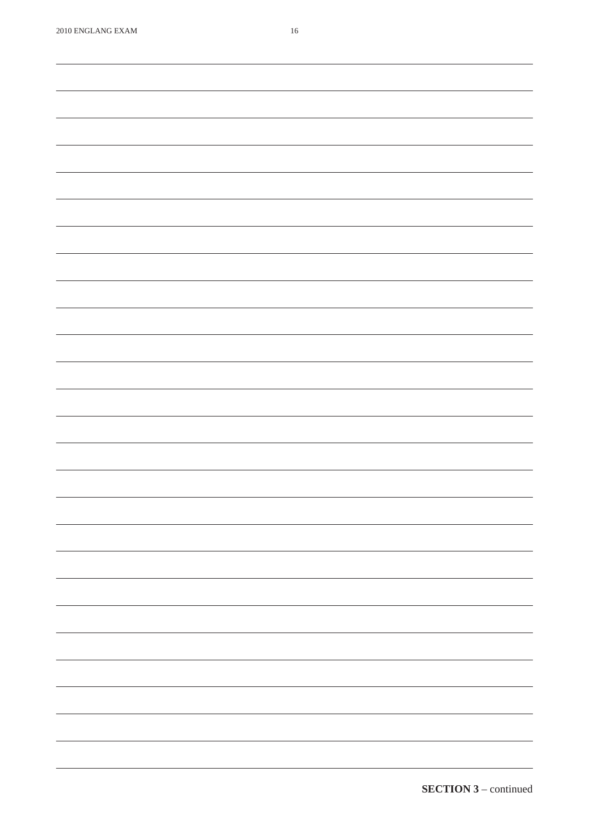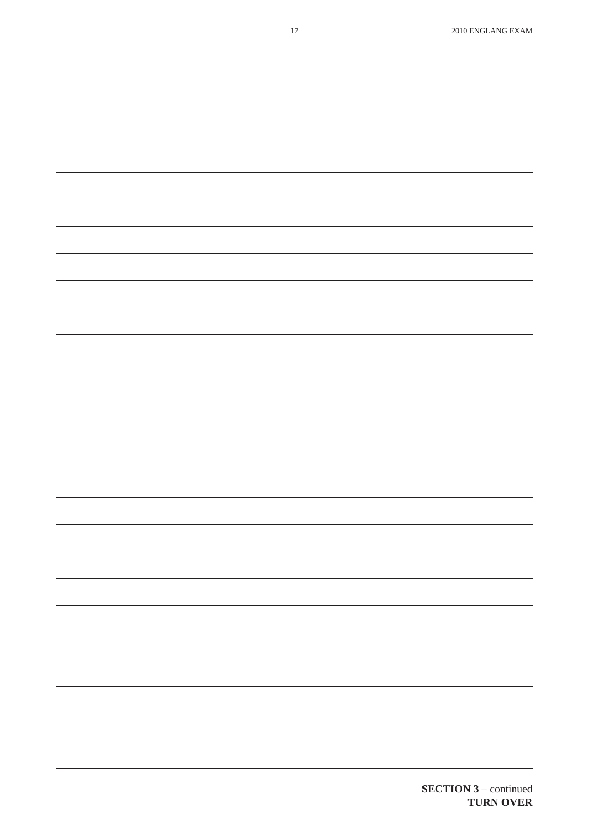$\overline{\phantom{a}}$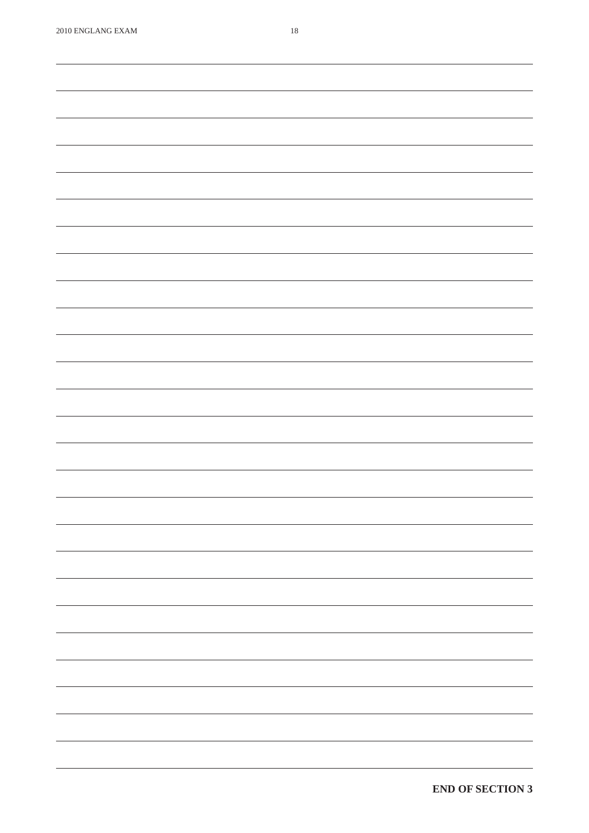and a

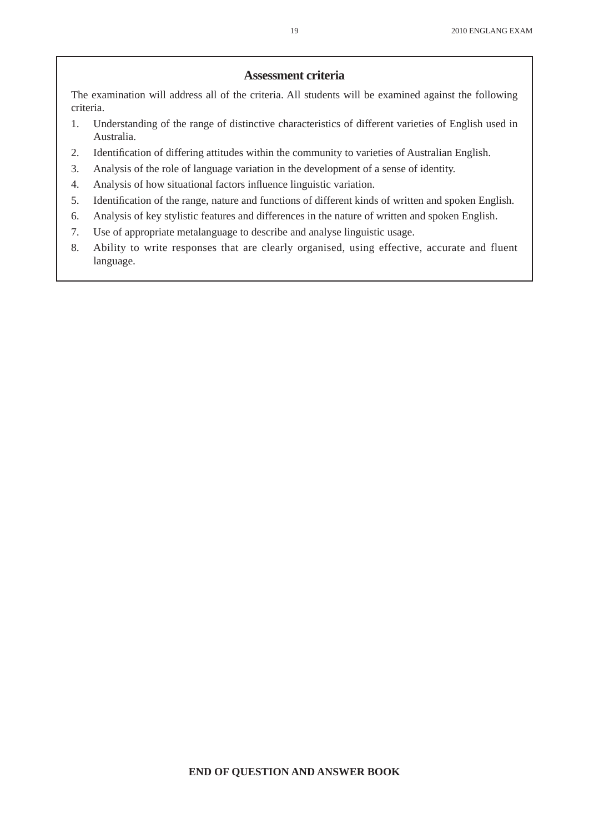#### **Assessment criteria**

The examination will address all of the criteria. All students will be examined against the following criteria.

- 1. Understanding of the range of distinctive characteristics of different varieties of English used in Australia.
- 2. Identification of differing attitudes within the community to varieties of Australian English.
- 3. Analysis of the role of language variation in the development of a sense of identity.
- 4. Analysis of how situational factors influence linguistic variation.
- 5. Identification of the range, nature and functions of different kinds of written and spoken English.
- 6. Analysis of key stylistic features and differences in the nature of written and spoken English.
- 7. Use of appropriate metalanguage to describe and analyse linguistic usage.
- 8. Ability to write responses that are clearly organised, using effective, accurate and fluent language.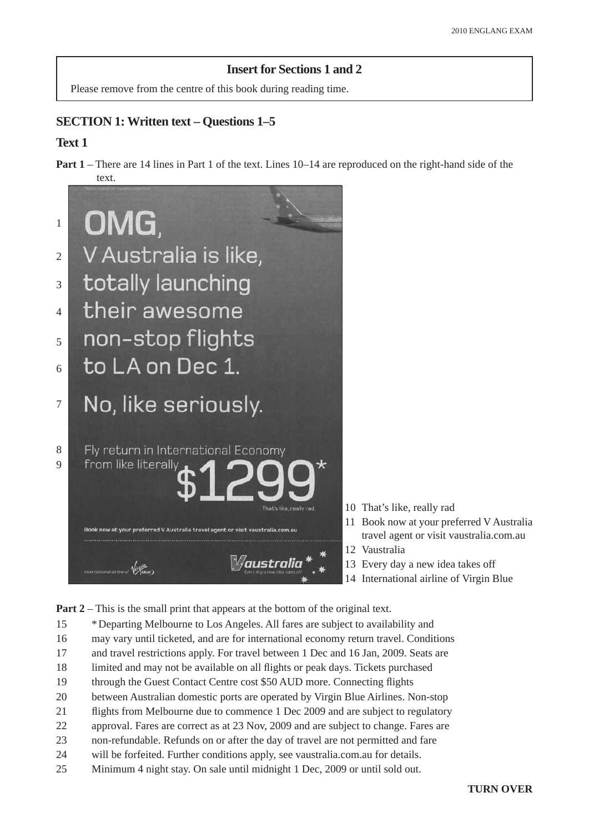## **Insert for Sections 1 and 2**

Please remove from the centre of this book during reading time.

## **SECTION 1: Written text – Questions 1–5**

## **Text 1**

**Part 1** – There are 14 lines in Part 1 of the text. Lines 10–14 are reproduced on the right-hand side of the text.



- 10 That's like, really rad
- 11 Book now at your preferred V Australia travel agent or visit vaustralia.com.au
- 12 Vaustralia
- 13 Every day a new idea takes off
- 14 International airline of Virgin Blue

**Part 2** – This is the small print that appears at the bottom of the original text.

- 15 \* Departing Melbourne to Los Angeles. All fares are subject to availability and
- 16 may vary until ticketed, and are for international economy return travel. Conditions
- 17 and travel restrictions apply. For travel between 1 Dec and 16 Jan, 2009. Seats are
- 18 limited and may not be available on all flights or peak days. Tickets purchased
- 19 through the Guest Contact Centre cost \$50 AUD more. Connecting flights
- 20 between Australian domestic ports are operated by Virgin Blue Airlines. Non-stop
- 21 flights from Melbourne due to commence 1 Dec 2009 and are subject to regulatory
- 22 approval. Fares are correct as at 23 Nov, 2009 and are subject to change. Fares are
- 23 non-refundable. Refunds on or after the day of travel are not permitted and fare
- 24 will be forfeited. Further conditions apply, see vaustralia.com.au for details.
- 25 Minimum 4 night stay. On sale until midnight 1 Dec, 2009 or until sold out.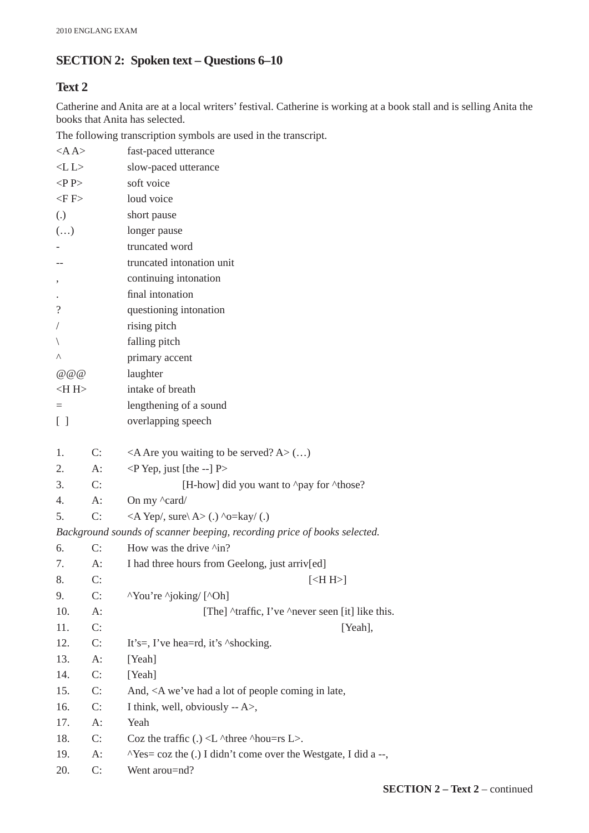## **SECTION 2: Spoken text – Questions 6–10**

## **Text 2**

Catherine and Anita are at a local writers' festival. Catherine is working at a book stall and is selling Anita the books that Anita has selected.

The following transcription symbols are used in the transcript.

| $<$ A $A$                                     |       | fast-paced utterance                                                                     |
|-----------------------------------------------|-------|------------------------------------------------------------------------------------------|
| < L L                                         |       | slow-paced utterance                                                                     |
| $\langle P \rangle$                           |       | soft voice                                                                               |
| $\langle$ F $\rangle$                         |       | loud voice                                                                               |
| $\left( .\right)$                             |       | short pause                                                                              |
| $\left(\ldots\right)$                         |       | longer pause                                                                             |
|                                               |       | truncated word                                                                           |
|                                               |       | truncated intonation unit                                                                |
| $^\circ$                                      |       | continuing intonation                                                                    |
|                                               |       | final intonation                                                                         |
| $\overline{\mathcal{L}}$                      |       | questioning intonation                                                                   |
|                                               |       | rising pitch                                                                             |
|                                               |       | falling pitch                                                                            |
| Λ                                             |       | primary accent                                                                           |
| @ @ @                                         |       | laughter                                                                                 |
| $<$ H $>$                                     |       | intake of breath                                                                         |
| $=$                                           |       | lengthening of a sound                                                                   |
| $\left[ \begin{array}{c} \end{array} \right]$ |       | overlapping speech                                                                       |
|                                               |       |                                                                                          |
| 1.                                            | C:    | <a a="" are="" be="" served?="" to="" waiting="" you=""> <math>()</math></a>             |
| 2.                                            | A:    | $\langle P$ Yep, just [the --] P>                                                        |
| 3.                                            | C:    | [H-how] did you want to ^pay for ^those?                                                 |
| 4.                                            | $A$ : | On my $\alpha$ ard/                                                                      |
| 5.                                            | C:    | $\langle A \text{Yep}\rangle$ , sure $\langle A \rangle$ (.) $\sim$ o=kay/(.)            |
|                                               |       | Background sounds of scanner beeping, recording price of books selected.                 |
| 6.                                            | C:    | How was the drive ^in?                                                                   |
| 7.                                            | $A$ : | I had three hours from Geelong, just arriv[ed]                                           |
| 8.                                            | C:    | $[<]$ H>]                                                                                |
| 9.                                            | C:    | "You're "joking/ ["Oh]                                                                   |
| 10.                                           | A:    | [The] ^traffic, I've ^never seen [it] like this.                                         |
| 11.                                           | C:    | [Yeah],                                                                                  |
| 12.                                           | C:    | It's=, I've hea=rd, it's $\triangle$ shocking.                                           |
| 13.                                           | A:    | [Yeah]                                                                                   |
| 14.                                           | C:    | [Yeah]                                                                                   |
| 15.                                           | C:    | And, <a a="" coming="" had="" in="" late,<="" lot="" of="" people="" td="" we've=""></a> |
| 16.                                           | C:    | I think, well, obviously $-A$ ,                                                          |
| 17.                                           | A:    | Yeah                                                                                     |
| 18.                                           | C:    | Coz the traffic $(.) < L$ ^three ^hou=rs $L$ >.                                          |
| 19.                                           | A:    | $N$ es = coz the (.) I didn't come over the Westgate, I did a --,                        |
| 20.                                           | C:    | Went arou=nd?                                                                            |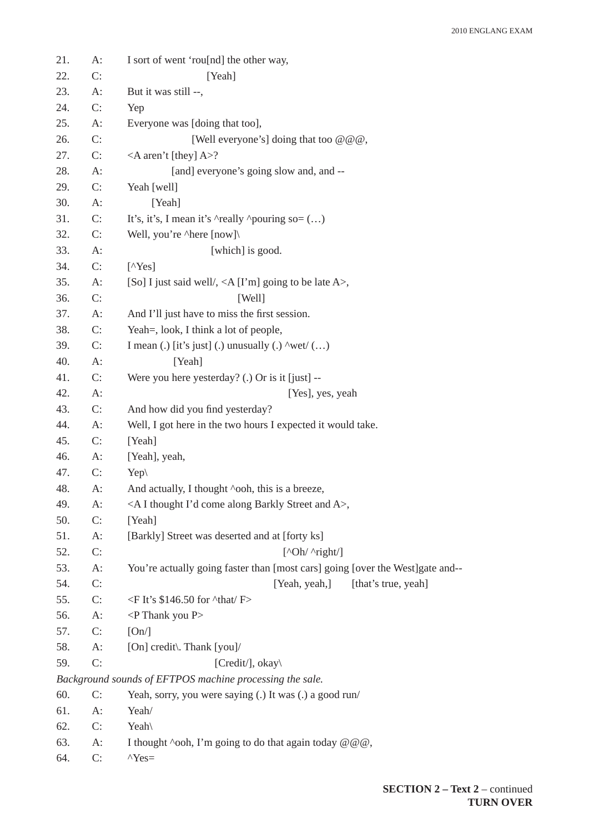| 21. | $A$ : | I sort of went 'rou[nd] the other way,                                           |
|-----|-------|----------------------------------------------------------------------------------|
| 22. | C:    | [Yeah]                                                                           |
| 23. | $A$ : | But it was still --,                                                             |
| 24. | C:    | Yep                                                                              |
| 25. | A:    | Everyone was [doing that too],                                                   |
| 26. | C:    | [Well everyone's] doing that too $@@@$ ,                                         |
| 27. | C:    | $\triangle$ A aren't [they] A>?                                                  |
| 28. | $A$ : | [and] everyone's going slow and, and --                                          |
| 29. | C:    | Yeah [well]                                                                      |
| 30. | A:    | [Yeah]                                                                           |
| 31. | C:    | It's, it's, I mean it's $\triangle$ really $\triangle$ pouring so= ()            |
| 32. | C:    | Well, you're ^here [now]\                                                        |
| 33. | $A$ : | [which] is good.                                                                 |
| 34. | C:    | $[$ <sup><math>\wedge</math>Yes]</sup>                                           |
| 35. | $A$ : | [So] I just said well/, $\langle A[I'm]$ going to be late A $>$ ,                |
| 36. | C:    | [Well]                                                                           |
| 37. | A:    | And I'll just have to miss the first session.                                    |
| 38. | C:    | Yeah=, look, I think a lot of people,                                            |
| 39. | C:    | I mean (.) [it's just] (.) unusually (.) $\wedge$ wet/ ()                        |
| 40. | $A$ : | [Yeah]                                                                           |
| 41. | C:    | Were you here yesterday? (.) Or is it [just] --                                  |
| 42. | A:    | [Yes], yes, yeah                                                                 |
| 43. | C:    | And how did you find yesterday?                                                  |
| 44. | A:    | Well, I got here in the two hours I expected it would take.                      |
| 45. | C:    | [Yeah]                                                                           |
| 46. | $A$ : | [Yeah], yeah,                                                                    |
| 47. | C:    | $Yep\$                                                                           |
| 48. | A:    | And actually, I thought ^ooh, this is a breeze,                                  |
| 49. | $A$ : | <a a="" along="" and="" barkly="" come="" i="" i'd="" street="" thought="">,</a> |
| 50. | C:    | [Yeah]                                                                           |
| 51. | $A$ : | [Barkly] Street was deserted and at [forty ks]                                   |
| 52. | C:    | $\lceil \n{\text{O} h}/\n{\text{right}}/\rceil$                                  |
| 53. | $A$ : | You're actually going faster than [most cars] going [over the West]gate and--    |
| 54. | C:    | [Yeah, yeah,]<br>[that's true, yeah]                                             |
| 55. | C:    | $\leq$ F It's \$146.50 for $\text{that}/\text{F}$                                |
| 56. | $A$ : | <p p="" thank="" you=""></p>                                                     |
| 57. | C:    | [On]                                                                             |
| 58. | $A$ : | [On] credit\. Thank [you]/                                                       |
| 59. | C:    | [Credit/], okay\                                                                 |
|     |       | Background sounds of EFTPOS machine processing the sale.                         |
| 60. | C:    | Yeah, sorry, you were saying (.) It was (.) a good run/                          |
| 61. | A:    | Yeah/                                                                            |
| 62. | C:    | Yeah                                                                             |
| 63. | $A$ : | I thought $\sim$ ooh, I'm going to do that again today @ @ @,                    |
| 64. | C:    | $Y$ es=                                                                          |
|     |       |                                                                                  |